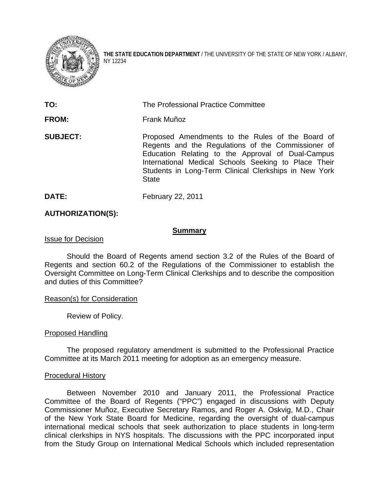

**THE STATE EDUCATION DEPARTMENT** / THE UNIVERSITY OF THE STATE OF NEW YORK / ALBANY, NY 12234

| TO:             | The Professional Practice Committee                                                                                                                                                                                                                                                          |
|-----------------|----------------------------------------------------------------------------------------------------------------------------------------------------------------------------------------------------------------------------------------------------------------------------------------------|
| <b>FROM:</b>    | Frank Muñoz                                                                                                                                                                                                                                                                                  |
| <b>SUBJECT:</b> | Proposed Amendments to the Rules of the Board of<br>Regents and the Regulations of the Commissioner of<br>Education Relating to the Approval of Dual-Campus<br>International Medical Schools Seeking to Place Their<br>Students in Long-Term Clinical Clerkships in New York<br><b>State</b> |

**DATE:** February 22, 2011

## **AUTHORIZATION(S):**

#### **Summary**

## Issue for Decision

Should the Board of Regents amend section 3.2 of the Rules of the Board of Regents and section 60.2 of the Regulations of the Commissioner to establish the Oversight Committee on Long-Term Clinical Clerkships and to describe the composition and duties of this Committee?

## Reason(s) for Consideration

Review of Policy.

## Proposed Handling

The proposed regulatory amendment is submitted to the Professional Practice Committee at its March 2011 meeting for adoption as an emergency measure.

## Procedural History

Between November 2010 and January 2011, the Professional Practice Committee of the Board of Regents ("PPC") engaged in discussions with Deputy Commissioner Muñoz, Executive Secretary Ramos, and Roger A. Oskvig, M.D., Chair of the New York State Board for Medicine, regarding the oversight of dual-campus international medical schools that seek authorization to place students in long-term clinical clerkships in NYS hospitals. The discussions with the PPC incorporated input from the Study Group on International Medical Schools which included representation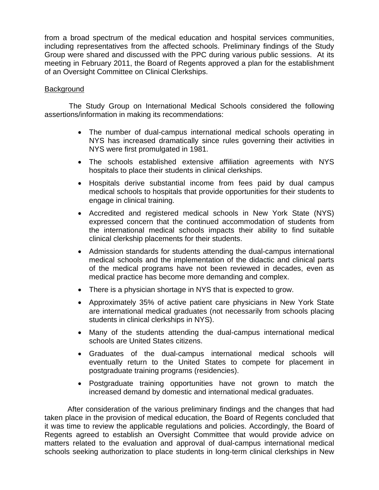from a broad spectrum of the medical education and hospital services communities, including representatives from the affected schools. Preliminary findings of the Study Group were shared and discussed with the PPC during various public sessions. At its meeting in February 2011, the Board of Regents approved a plan for the establishment of an Oversight Committee on Clinical Clerkships.

# Background

 The Study Group on International Medical Schools considered the following assertions/information in making its recommendations:

- The number of dual-campus international medical schools operating in NYS has increased dramatically since rules governing their activities in NYS were first promulgated in 1981.
- The schools established extensive affiliation agreements with NYS hospitals to place their students in clinical clerkships.
- Hospitals derive substantial income from fees paid by dual campus medical schools to hospitals that provide opportunities for their students to engage in clinical training.
- Accredited and registered medical schools in New York State (NYS) expressed concern that the continued accommodation of students from the international medical schools impacts their ability to find suitable clinical clerkship placements for their students.
- Admission standards for students attending the dual-campus international medical schools and the implementation of the didactic and clinical parts of the medical programs have not been reviewed in decades, even as medical practice has become more demanding and complex.
- There is a physician shortage in NYS that is expected to grow.
- Approximately 35% of active patient care physicians in New York State are international medical graduates (not necessarily from schools placing students in clinical clerkships in NYS).
- Many of the students attending the dual-campus international medical schools are United States citizens.
- Graduates of the dual-campus international medical schools will eventually return to the United States to compete for placement in postgraduate training programs (residencies).
- Postgraduate training opportunities have not grown to match the increased demand by domestic and international medical graduates.

After consideration of the various preliminary findings and the changes that had taken place in the provision of medical education, the Board of Regents concluded that it was time to review the applicable regulations and policies. Accordingly, the Board of Regents agreed to establish an Oversight Committee that would provide advice on matters related to the evaluation and approval of dual-campus international medical schools seeking authorization to place students in long-term clinical clerkships in New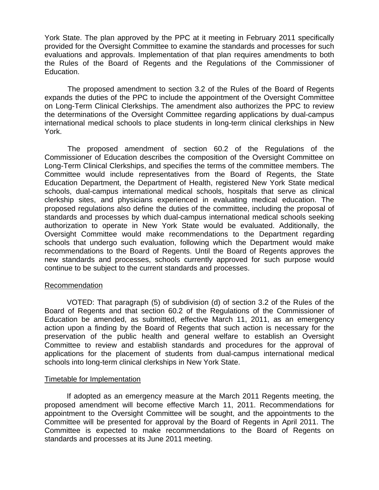York State. The plan approved by the PPC at it meeting in February 2011 specifically provided for the Oversight Committee to examine the standards and processes for such evaluations and approvals. Implementation of that plan requires amendments to both the Rules of the Board of Regents and the Regulations of the Commissioner of Education.

The proposed amendment to section 3.2 of the Rules of the Board of Regents expands the duties of the PPC to include the appointment of the Oversight Committee on Long-Term Clinical Clerkships. The amendment also authorizes the PPC to review the determinations of the Oversight Committee regarding applications by dual-campus international medical schools to place students in long-term clinical clerkships in New York.

The proposed amendment of section 60.2 of the Regulations of the Commissioner of Education describes the composition of the Oversight Committee on Long-Term Clinical Clerkships, and specifies the terms of the committee members. The Committee would include representatives from the Board of Regents, the State Education Department, the Department of Health, registered New York State medical schools, dual-campus international medical schools, hospitals that serve as clinical clerkship sites, and physicians experienced in evaluating medical education. The proposed regulations also define the duties of the committee, including the proposal of standards and processes by which dual-campus international medical schools seeking authorization to operate in New York State would be evaluated. Additionally, the Oversight Committee would make recommendations to the Department regarding schools that undergo such evaluation, following which the Department would make recommendations to the Board of Regents. Until the Board of Regents approves the new standards and processes, schools currently approved for such purpose would continue to be subject to the current standards and processes.

## Recommendation

VOTED: That paragraph (5) of subdivision (d) of section 3.2 of the Rules of the Board of Regents and that section 60.2 of the Regulations of the Commissioner of Education be amended, as submitted, effective March 11, 2011, as an emergency action upon a finding by the Board of Regents that such action is necessary for the preservation of the public health and general welfare to establish an Oversight Committee to review and establish standards and procedures for the approval of applications for the placement of students from dual-campus international medical schools into long-term clinical clerkships in New York State.

## Timetable for Implementation

If adopted as an emergency measure at the March 2011 Regents meeting, the proposed amendment will become effective March 11, 2011. Recommendations for appointment to the Oversight Committee will be sought, and the appointments to the Committee will be presented for approval by the Board of Regents in April 2011. The Committee is expected to make recommendations to the Board of Regents on standards and processes at its June 2011 meeting.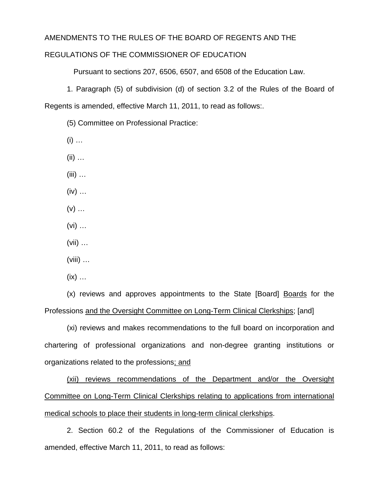## AMENDMENTS TO THE RULES OF THE BOARD OF REGENTS AND THE

# REGULATIONS OF THE COMMISSIONER OF EDUCATION

Pursuant to sections 207, 6506, 6507, and 6508 of the Education Law.

1. Paragraph (5) of subdivision (d) of section 3.2 of the Rules of the Board of Regents is amended, effective March 11, 2011, to read as follows:.

(5) Committee on Professional Practice:

 $(i)$  ...

 $(ii)$  …

 $(iii)$  ...

 $(iv) \dots$ 

- $(v)$  ...
- $(vi)$  ...

(vii) …

 $(viii)$   $\dots$ 

 $(ix)$  …

(x) reviews and approves appointments to the State [Board] Boards for the Professions and the Oversight Committee on Long-Term Clinical Clerkships; [and]

(xi) reviews and makes recommendations to the full board on incorporation and chartering of professional organizations and non-degree granting institutions or organizations related to the professions; and

(xii) reviews recommendations of the Department and/or the Oversight Committee on Long-Term Clinical Clerkships relating to applications from international medical schools to place their students in long-term clinical clerkships.

2. Section 60.2 of the Regulations of the Commissioner of Education is amended, effective March 11, 2011, to read as follows: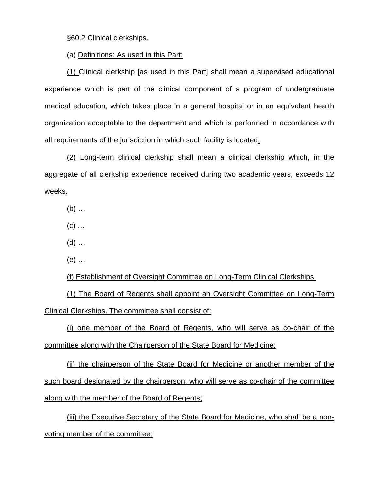§60.2 Clinical clerkships.

(a) Definitions: As used in this Part:

(1) Clinical clerkship [as used in this Part] shall mean a supervised educational experience which is part of the clinical component of a program of undergraduate medical education, which takes place in a general hospital or in an equivalent health organization acceptable to the department and which is performed in accordance with all requirements of the jurisdiction in which such facility is located;

(2) Long-term clinical clerkship shall mean a clinical clerkship which, in the aggregate of all clerkship experience received during two academic years, exceeds 12 weeks.

(b) …

 $(c)$  ...

 $(d)$  ...

(e) …

(f) Establishment of Oversight Committee on Long-Term Clinical Clerkships.

(1) The Board of Regents shall appoint an Oversight Committee on Long-Term Clinical Clerkships. The committee shall consist of:

(i) one member of the Board of Regents, who will serve as co-chair of the committee along with the Chairperson of the State Board for Medicine;

(ii) the chairperson of the State Board for Medicine or another member of the such board designated by the chairperson, who will serve as co-chair of the committee along with the member of the Board of Regents;

(iii) the Executive Secretary of the State Board for Medicine, who shall be a nonvoting member of the committee;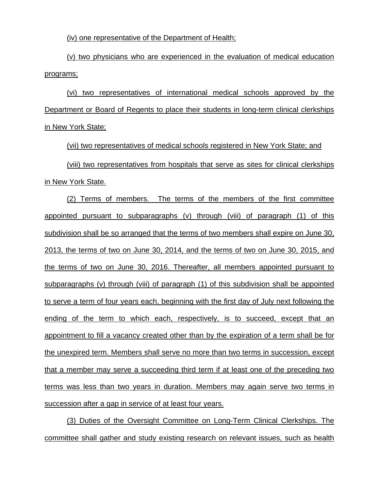(iv) one representative of the Department of Health;

(v) two physicians who are experienced in the evaluation of medical education programs;

(vi) two representatives of international medical schools approved by the Department or Board of Regents to place their students in long-term clinical clerkships in New York State;

(vii) two representatives of medical schools registered in New York State; and (viii) two representatives from hospitals that serve as sites for clinical clerkships in New York State.

(2) Terms of members. The terms of the members of the first committee appointed pursuant to subparagraphs (v) through (viii) of paragraph (1) of this subdivision shall be so arranged that the terms of two members shall expire on June 30, 2013, the terms of two on June 30, 2014, and the terms of two on June 30, 2015, and the terms of two on June 30, 2016. Thereafter, all members appointed pursuant to subparagraphs (v) through (viii) of paragraph (1) of this subdivision shall be appointed to serve a term of four years each, beginning with the first day of July next following the ending of the term to which each, respectively, is to succeed, except that an appointment to fill a vacancy created other than by the expiration of a term shall be for the unexpired term. Members shall serve no more than two terms in succession, except that a member may serve a succeeding third term if at least one of the preceding two terms was less than two years in duration. Members may again serve two terms in succession after a gap in service of at least four years.

(3) Duties of the Oversight Committee on Long-Term Clinical Clerkships. The committee shall gather and study existing research on relevant issues, such as health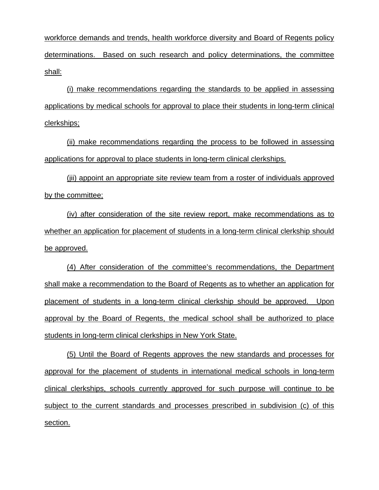workforce demands and trends, health workforce diversity and Board of Regents policy determinations. Based on such research and policy determinations, the committee shall:

(i) make recommendations regarding the standards to be applied in assessing applications by medical schools for approval to place their students in long-term clinical clerkships;

(ii) make recommendations regarding the process to be followed in assessing applications for approval to place students in long-term clinical clerkships.

(jii) appoint an appropriate site review team from a roster of individuals approved by the committee;

(iv) after consideration of the site review report, make recommendations as to whether an application for placement of students in a long-term clinical clerkship should be approved.

(4) After consideration of the committee's recommendations, the Department shall make a recommendation to the Board of Regents as to whether an application for placement of students in a long-term clinical clerkship should be approved. Upon approval by the Board of Regents, the medical school shall be authorized to place students in long-term clinical clerkships in New York State.

(5) Until the Board of Regents approves the new standards and processes for approval for the placement of students in international medical schools in long-term clinical clerkships, schools currently approved for such purpose will continue to be subject to the current standards and processes prescribed in subdivision (c) of this section.